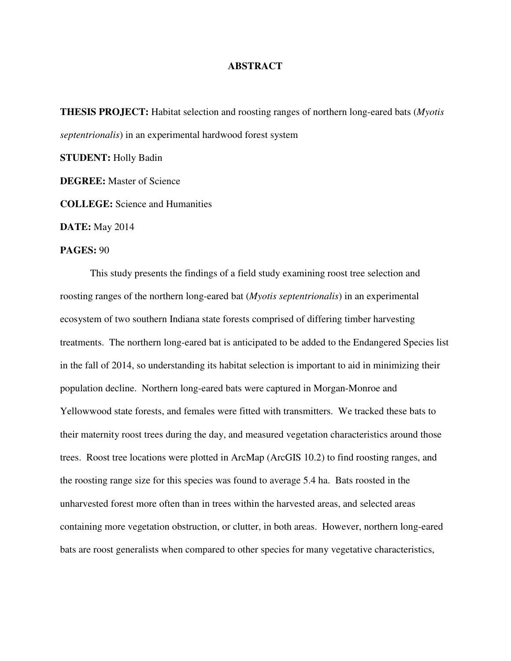## **ABSTRACT**

**THESIS PROJECT:** Habitat selection and roosting ranges of northern long-eared bats (*Myotis septentrionalis*) in an experimental hardwood forest system

**STUDENT:** Holly Badin

**DEGREE:** Master of Science

**COLLEGE:** Science and Humanities

**DATE:** May 2014

## **PAGES:** 90

 This study presents the findings of a field study examining roost tree selection and roosting ranges of the northern long-eared bat (*Myotis septentrionalis*) in an experimental ecosystem of two southern Indiana state forests comprised of differing timber harvesting treatments. The northern long-eared bat is anticipated to be added to the Endangered Species list in the fall of 2014, so understanding its habitat selection is important to aid in minimizing their population decline. Northern long-eared bats were captured in Morgan-Monroe and Yellowwood state forests, and females were fitted with transmitters. We tracked these bats to their maternity roost trees during the day, and measured vegetation characteristics around those trees. Roost tree locations were plotted in ArcMap (ArcGIS 10.2) to find roosting ranges, and the roosting range size for this species was found to average 5.4 ha. Bats roosted in the unharvested forest more often than in trees within the harvested areas, and selected areas containing more vegetation obstruction, or clutter, in both areas. However, northern long-eared bats are roost generalists when compared to other species for many vegetative characteristics,